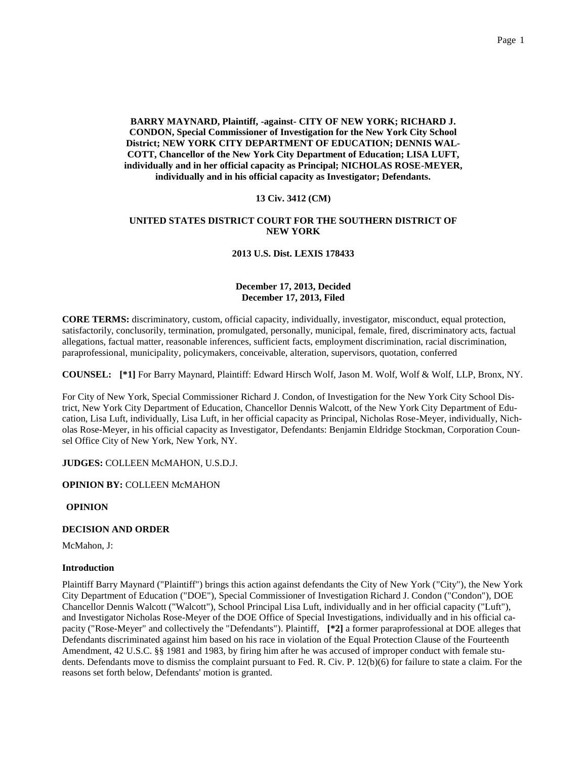**BARRY MAYNARD, Plaintiff, -against- CITY OF NEW YORK; RICHARD J. CONDON, Special Commissioner of Investigation for the New York City School District; NEW YORK CITY DEPARTMENT OF EDUCATION; DENNIS WAL-COTT, Chancellor of the New York City Department of Education; LISA LUFT, individually and in her official capacity as Principal; NICHOLAS ROSE-MEYER, individually and in his official capacity as Investigator; Defendants.**

# **13 Civ. 3412 (CM)**

# **UNITED STATES DISTRICT COURT FOR THE SOUTHERN DISTRICT OF NEW YORK**

## **2013 U.S. Dist. LEXIS 178433**

## **December 17, 2013, Decided December 17, 2013, Filed**

**CORE TERMS:** discriminatory, custom, official capacity, individually, investigator, misconduct, equal protection, satisfactorily, conclusorily, termination, promulgated, personally, municipal, female, fired, discriminatory acts, factual allegations, factual matter, reasonable inferences, sufficient facts, employment discrimination, racial discrimination, paraprofessional, municipality, policymakers, conceivable, alteration, supervisors, quotation, conferred

**COUNSEL: [\*1]** For Barry Maynard, Plaintiff: Edward Hirsch Wolf, Jason M. Wolf, Wolf & Wolf, LLP, Bronx, NY.

For City of New York, Special Commissioner Richard J. Condon, of Investigation for the New York City School District, New York City Department of Education, Chancellor Dennis Walcott, of the New York City Department of Education, Lisa Luft, individually, Lisa Luft, in her official capacity as Principal, Nicholas Rose-Meyer, individually, Nicholas Rose-Meyer, in his official capacity as Investigator, Defendants: Benjamin Eldridge Stockman, Corporation Counsel Office City of New York, New York, NY.

**JUDGES:** COLLEEN McMAHON, U.S.D.J.

**OPINION BY:** COLLEEN McMAHON

**OPINION**

# **DECISION AND ORDER**

McMahon, J:

#### **Introduction**

Plaintiff Barry Maynard ("Plaintiff") brings this action against defendants the City of New York ("City"), the New York City Department of Education ("DOE"), Special Commissioner of Investigation Richard J. Condon ("Condon"), DOE Chancellor Dennis Walcott ("Walcott"), School Principal Lisa Luft, individually and in her official capacity ("Luft"), and Investigator Nicholas Rose-Meyer of the DOE Office of Special Investigations, individually and in his official capacity ("Rose-Meyer" and collectively the "Defendants"). Plaintiff, **[\*2]** a former paraprofessional at DOE alleges that Defendants discriminated against him based on his race in violation of the Equal Protection Clause of the Fourteenth Amendment, 42 U.S.C. §§ 1981 and 1983, by firing him after he was accused of improper conduct with female students. Defendants move to dismiss the complaint pursuant to Fed. R. Civ. P. 12(b)(6) for failure to state a claim. For the reasons set forth below, Defendants' motion is granted.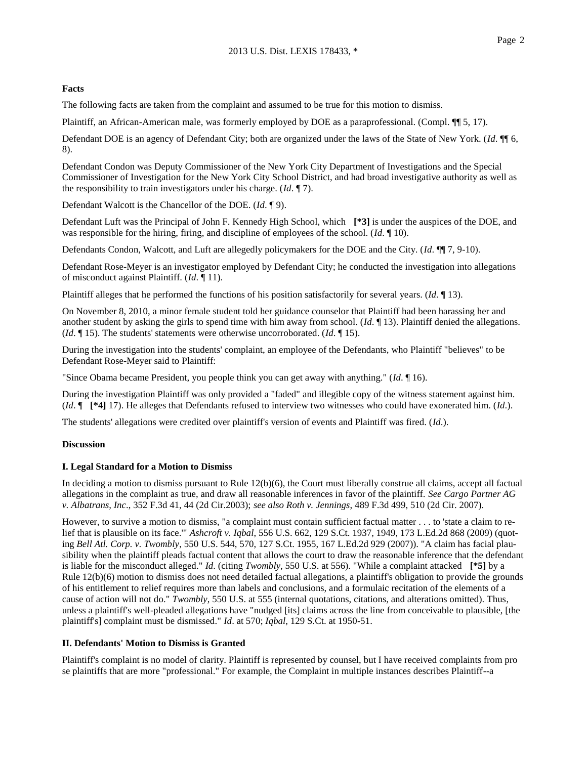## **Facts**

The following facts are taken from the complaint and assumed to be true for this motion to dismiss.

Plaintiff, an African-American male, was formerly employed by DOE as a paraprofessional. (Compl.  $\P$ [5, 17).

Defendant DOE is an agency of Defendant City; both are organized under the laws of the State of New York. (*Id*. ¶¶ 6, 8).

Defendant Condon was Deputy Commissioner of the New York City Department of Investigations and the Special Commissioner of Investigation for the New York City School District, and had broad investigative authority as well as the responsibility to train investigators under his charge. (*Id*. ¶ 7).

Defendant Walcott is the Chancellor of the DOE. (*Id*. ¶ 9).

Defendant Luft was the Principal of John F. Kennedy High School, which **[\*3]** is under the auspices of the DOE, and was responsible for the hiring, firing, and discipline of employees of the school. (*Id*. ¶ 10).

Defendants Condon, Walcott, and Luft are allegedly policymakers for the DOE and the City. (*Id*. ¶¶ 7, 9-10).

Defendant Rose-Meyer is an investigator employed by Defendant City; he conducted the investigation into allegations of misconduct against Plaintiff. (*Id*. ¶ 11).

Plaintiff alleges that he performed the functions of his position satisfactorily for several years. (*Id*. ¶ 13).

On November 8, 2010, a minor female student told her guidance counselor that Plaintiff had been harassing her and another student by asking the girls to spend time with him away from school. (*Id*. ¶ 13). Plaintiff denied the allegations. (*Id*. ¶ 15). The students' statements were otherwise uncorroborated. (*Id*. ¶ 15).

During the investigation into the students' complaint, an employee of the Defendants, who Plaintiff "believes" to be Defendant Rose-Meyer said to Plaintiff:

"Since Obama became President, you people think you can get away with anything." (*Id*. ¶ 16).

During the investigation Plaintiff was only provided a "faded" and illegible copy of the witness statement against him. (*Id*. ¶ **[\*4]** 17). He alleges that Defendants refused to interview two witnesses who could have exonerated him. (*Id*.).

The students' allegations were credited over plaintiff's version of events and Plaintiff was fired. (*Id*.).

#### **Discussion**

# **I. Legal Standard for a Motion to Dismiss**

In deciding a motion to dismiss pursuant to Rule 12(b)(6), the Court must liberally construe all claims, accept all factual allegations in the complaint as true, and draw all reasonable inferences in favor of the plaintiff. *See Cargo Partner AG v. Albatrans, Inc*., 352 F.3d 41, 44 (2d Cir.2003); *see also Roth v. Jennings*, 489 F.3d 499, 510 (2d Cir. 2007).

However, to survive a motion to dismiss, "a complaint must contain sufficient factual matter . . . to 'state a claim to relief that is plausible on its face.'" *Ashcroft v. Iqbal*, 556 U.S. 662, 129 S.Ct. 1937, 1949, 173 L.Ed.2d 868 (2009) (quoting *Bell Atl. Corp. v. Twombly*, 550 U.S. 544, 570, 127 S.Ct. 1955, 167 L.Ed.2d 929 (2007)). "A claim has facial plausibility when the plaintiff pleads factual content that allows the court to draw the reasonable inference that the defendant is liable for the misconduct alleged." *Id*. (citing *Twombly*, 550 U.S. at 556). "While a complaint attacked **[\*5]** by a Rule 12(b)(6) motion to dismiss does not need detailed factual allegations, a plaintiff's obligation to provide the grounds of his entitlement to relief requires more than labels and conclusions, and a formulaic recitation of the elements of a cause of action will not do." *Twombly*, 550 U.S. at 555 (internal quotations, citations, and alterations omitted). Thus, unless a plaintiff's well-pleaded allegations have "nudged [its] claims across the line from conceivable to plausible, [the plaintiff's] complaint must be dismissed." *Id*. at 570; *Iqbal*, 129 S.Ct. at 1950-51.

## **II. Defendants' Motion to Dismiss is Granted**

Plaintiff's complaint is no model of clarity. Plaintiff is represented by counsel, but I have received complaints from pro se plaintiffs that are more "professional." For example, the Complaint in multiple instances describes Plaintiff--a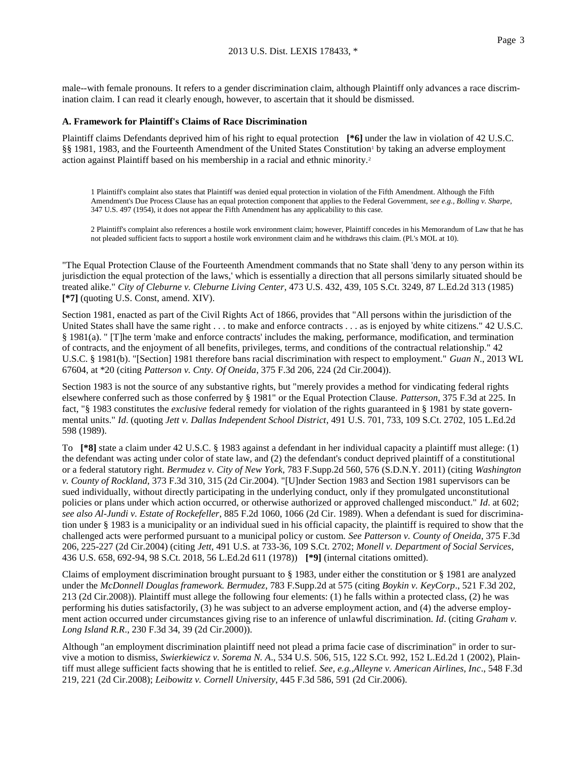male--with female pronouns. It refers to a gender discrimination claim, although Plaintiff only advances a race discrimination claim. I can read it clearly enough, however, to ascertain that it should be dismissed.

#### **A. Framework for Plaintiff's Claims of Race Discrimination**

Plaintiff claims Defendants deprived him of his right to equal protection **[\*6]** under the law in violation of 42 U.S.C. §§ 1981, 1983, and the Fourteenth Amendment of the United States Constitution<sup>1</sup> by taking an adverse employment action against Plaintiff based on his membership in a racial and ethnic minority.<sup>2</sup>

1 Plaintiff's complaint also states that Plaintiff was denied equal protection in violation of the Fifth Amendment. Although the Fifth Amendment's Due Process Clause has an equal protection component that applies to the Federal Government, *see e.g., Bolling v. Sharpe*, 347 U.S. 497 (1954), it does not appear the Fifth Amendment has any applicability to this case.

2 Plaintiff's complaint also references a hostile work environment claim; however, Plaintiff concedes in his Memorandum of Law that he has not pleaded sufficient facts to support a hostile work environment claim and he withdraws this claim. (Pl.'s MOL at 10).

"The Equal Protection Clause of the Fourteenth Amendment commands that no State shall 'deny to any person within its jurisdiction the equal protection of the laws,' which is essentially a direction that all persons similarly situated should be treated alike." *City of Cleburne v. Cleburne Living Center*, 473 U.S. 432, 439, 105 S.Ct. 3249, 87 L.Ed.2d 313 (1985) **[\*7]** (quoting U.S. Const, amend. XIV).

Section 1981, enacted as part of the Civil Rights Act of 1866, provides that "All persons within the jurisdiction of the United States shall have the same right . . . to make and enforce contracts . . . as is enjoyed by white citizens." 42 U.S.C. § 1981(a). " [T]he term 'make and enforce contracts' includes the making, performance, modification, and termination of contracts, and the enjoyment of all benefits, privileges, terms, and conditions of the contractual relationship." 42 U.S.C. § 1981(b). "[Section] 1981 therefore bans racial discrimination with respect to employment." *Guan N*., 2013 WL 67604, at \*20 (citing *Patterson v. Cnty. Of Oneida*, 375 F.3d 206, 224 (2d Cir.2004)).

Section 1983 is not the source of any substantive rights, but "merely provides a method for vindicating federal rights elsewhere conferred such as those conferred by § 1981" or the Equal Protection Clause. *Patterson*, 375 F.3d at 225. In fact, "§ 1983 constitutes the *exclusive* federal remedy for violation of the rights guaranteed in § 1981 by state governmental units." *Id*. (quoting *Jett v. Dallas Independent School District*, 491 U.S. 701, 733, 109 S.Ct. 2702, 105 L.Ed.2d 598 (1989).

To **[\*8]** state a claim under 42 U.S.C. § 1983 against a defendant in her individual capacity a plaintiff must allege: (1) the defendant was acting under color of state law, and (2) the defendant's conduct deprived plaintiff of a constitutional or a federal statutory right. *Bermudez v. City of New York*, 783 F.Supp.2d 560, 576 (S.D.N.Y. 2011) (citing *Washington v. County of Rockland*, 373 F.3d 310, 315 (2d Cir.2004). "[U]nder Section 1983 and Section 1981 supervisors can be sued individually, without directly participating in the underlying conduct, only if they promulgated unconstitutional policies or plans under which action occurred, or otherwise authorized or approved challenged misconduct." *Id*. at 602; *see also Al-Jundi v. Estate of Rockefeller*, 885 F.2d 1060, 1066 (2d Cir. 1989). When a defendant is sued for discrimination under § 1983 is a municipality or an individual sued in his official capacity, the plaintiff is required to show that the challenged acts were performed pursuant to a municipal policy or custom. *See Patterson v. County of Oneida*, 375 F.3d 206, 225-227 (2d Cir.2004) (citing *Jett*, 491 U.S. at 733-36, 109 S.Ct. 2702; *Monell v. Department of Social Services*, 436 U.S. 658, 692-94, 98 S.Ct. 2018, 56 L.Ed.2d 611 (1978)) **[\*9]** (internal citations omitted).

Claims of employment discrimination brought pursuant to § 1983, under either the constitution or § 1981 are analyzed under the *McDonnell Douglas framework. Bermudez*, 783 F.Supp.2d at 575 (citing *Boykin v. KeyCorp*., 521 F.3d 202, 213 (2d Cir.2008)). Plaintiff must allege the following four elements: (1) he falls within a protected class, (2) he was performing his duties satisfactorily, (3) he was subject to an adverse employment action, and (4) the adverse employment action occurred under circumstances giving rise to an inference of unlawful discrimination. *Id*. (citing *Graham v. Long Island R.R*., 230 F.3d 34, 39 (2d Cir.2000)).

Although "an employment discrimination plaintiff need not plead a prima facie case of discrimination" in order to survive a motion to dismiss, *Swierkiewicz v. Sorema N. A*., 534 U.S. 506, 515, 122 S.Ct. 992, 152 L.Ed.2d 1 (2002), Plaintiff must allege sufficient facts showing that he is entitled to relief. *See, e.g.,Alleyne v. American Airlines, Inc*., 548 F.3d 219, 221 (2d Cir.2008); *Leibowitz v. Cornell University*, 445 F.3d 586, 591 (2d Cir.2006).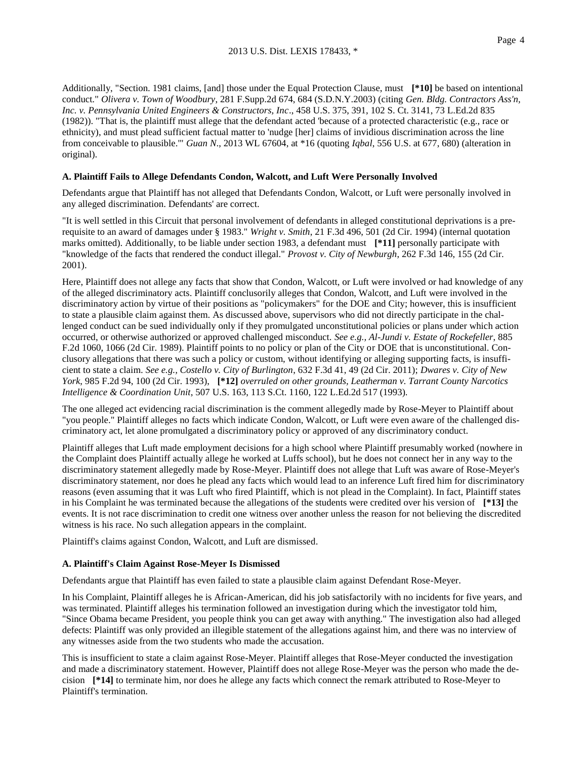Additionally, "Section. 1981 claims, [and] those under the Equal Protection Clause, must **[\*10]** be based on intentional conduct." *Olivera v. Town of Woodbury*, 281 F.Supp.2d 674, 684 (S.D.N.Y.2003) (citing *Gen. Bldg. Contractors Ass'n, Inc. v. Pennsylvania United Engineers & Constructors, Inc*., 458 U.S. 375, 391, 102 S. Ct. 3141, 73 L.Ed.2d 835 (1982)). "That is, the plaintiff must allege that the defendant acted 'because of a protected characteristic (e.g., race or ethnicity), and must plead sufficient factual matter to 'nudge [her] claims of invidious discrimination across the line from conceivable to plausible.'" *Guan N*., 2013 WL 67604, at \*16 (quoting *Iqbal*, 556 U.S. at 677, 680) (alteration in original).

#### **A. Plaintiff Fails to Allege Defendants Condon, Walcott, and Luft Were Personally Involved**

Defendants argue that Plaintiff has not alleged that Defendants Condon, Walcott, or Luft were personally involved in any alleged discrimination. Defendants' are correct.

"It is well settled in this Circuit that personal involvement of defendants in alleged constitutional deprivations is a prerequisite to an award of damages under § 1983." *Wright v. Smith*, 21 F.3d 496, 501 (2d Cir. 1994) (internal quotation marks omitted). Additionally, to be liable under section 1983, a defendant must **[\*11]** personally participate with "knowledge of the facts that rendered the conduct illegal." *Provost v. City of Newburgh*, 262 F.3d 146, 155 (2d Cir. 2001).

Here, Plaintiff does not allege any facts that show that Condon, Walcott, or Luft were involved or had knowledge of any of the alleged discriminatory acts. Plaintiff conclusorily alleges that Condon, Walcott, and Luft were involved in the discriminatory action by virtue of their positions as "policymakers" for the DOE and City; however, this is insufficient to state a plausible claim against them. As discussed above, supervisors who did not directly participate in the challenged conduct can be sued individually only if they promulgated unconstitutional policies or plans under which action occurred, or otherwise authorized or approved challenged misconduct. *See e.g., Al-Jundi v. Estate of Rockefeller*, 885 F.2d 1060, 1066 (2d Cir. 1989). Plaintiff points to no policy or plan of the City or DOE that is unconstitutional. Conclusory allegations that there was such a policy or custom, without identifying or alleging supporting facts, is insufficient to state a claim. *See e.g., Costello v. City of Burlington*, 632 F.3d 41, 49 (2d Cir. 2011); *Dwares v. City of New York*, 985 F.2d 94, 100 (2d Cir. 1993), **[\*12]** *overruled on other grounds, Leatherman v. Tarrant County Narcotics Intelligence & Coordination Unit*, 507 U.S. 163, 113 S.Ct. 1160, 122 L.Ed.2d 517 (1993).

The one alleged act evidencing racial discrimination is the comment allegedly made by Rose-Meyer to Plaintiff about "you people." Plaintiff alleges no facts which indicate Condon, Walcott, or Luft were even aware of the challenged discriminatory act, let alone promulgated a discriminatory policy or approved of any discriminatory conduct.

Plaintiff alleges that Luft made employment decisions for a high school where Plaintiff presumably worked (nowhere in the Complaint does Plaintiff actually allege he worked at Luffs school), but he does not connect her in any way to the discriminatory statement allegedly made by Rose-Meyer. Plaintiff does not allege that Luft was aware of Rose-Meyer's discriminatory statement, nor does he plead any facts which would lead to an inference Luft fired him for discriminatory reasons (even assuming that it was Luft who fired Plaintiff, which is not plead in the Complaint). In fact, Plaintiff states in his Complaint he was terminated because the allegations of the students were credited over his version of **[\*13]** the events. It is not race discrimination to credit one witness over another unless the reason for not believing the discredited witness is his race. No such allegation appears in the complaint.

Plaintiff's claims against Condon, Walcott, and Luft are dismissed.

#### **A. Plaintiff's Claim Against Rose-Meyer Is Dismissed**

Defendants argue that Plaintiff has even failed to state a plausible claim against Defendant Rose-Meyer.

In his Complaint, Plaintiff alleges he is African-American, did his job satisfactorily with no incidents for five years, and was terminated. Plaintiff alleges his termination followed an investigation during which the investigator told him, "Since Obama became President, you people think you can get away with anything." The investigation also had alleged defects: Plaintiff was only provided an illegible statement of the allegations against him, and there was no interview of any witnesses aside from the two students who made the accusation.

This is insufficient to state a claim against Rose-Meyer. Plaintiff alleges that Rose-Meyer conducted the investigation and made a discriminatory statement. However, Plaintiff does not allege Rose-Meyer was the person who made the decision **[\*14]** to terminate him, nor does he allege any facts which connect the remark attributed to Rose-Meyer to Plaintiff's termination.